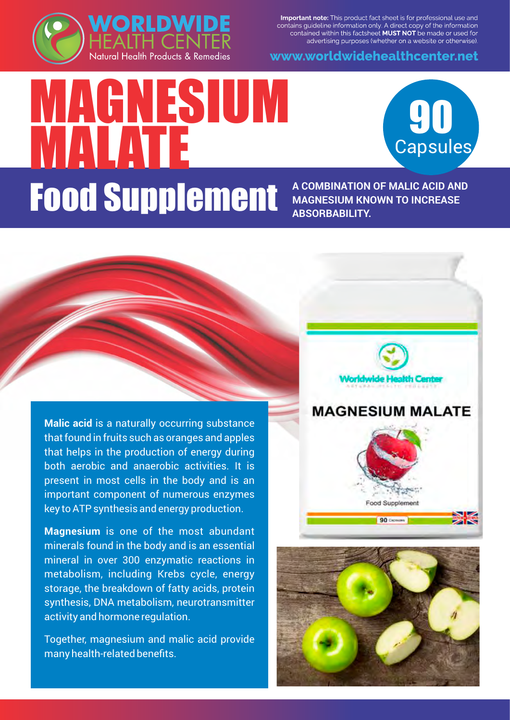

Important note: This product fact sheet is for professional use and contains guideline information only. A direct copy of the information contained within this factsheet MUST NOT be made or used for advertising purposes (whether on a website or otherwise).

www.worldwidehealthcenter.net

## MAGNESIUM **MALATE Food Supplement A COMBINATION OF MALIC ACID AND**

**MAGNESIUM KNOWN TO INCREASE ABSORBABILITY.**

**90**<br>Capsules

**Malic acid** is a naturally occurring substance that found in fruits such as oranges and apples that helps in the production of energy during both aerobic and anaerobic activities. It is present in most cells in the body and is an important component of numerous enzymes key to ATP synthesis and energy production.

**Magnesium** is one of the most abundant minerals found in the body and is an essential mineral in over 300 enzymatic reactions in metabolism, including Krebs cycle, energy storage, the breakdown of fatty acids, protein synthesis, DNA metabolism, neurotransmitter activity and hormone regulation.

Together, magnesium and malic acid provide many health-related benefits.